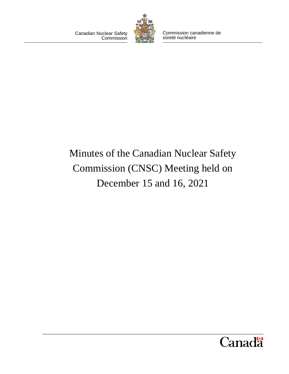Canadian Nuclear Safety **Commission** 



Commission canadienne de sûreté nucléaire

# Minutes of the Canadian Nuclear Safety Commission (CNSC) Meeting held on December 15 and 16, 2021

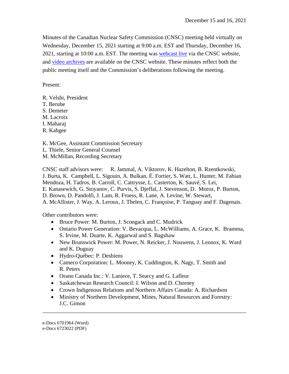Minutes of the Canadian Nuclear Safety Commission (CNSC) meeting held virtually on Wednesday, December 15, 2021 starting at 9:00 a.m. EST and Thursday, December 16, 2021, starting at 10:00 a.m. EST. The meeting was [webcast live](https://nuclearsafety.gc.ca/eng/the-commission/webcasts/index.cfm) via the CNSC website, and [video archives](https://nuclearsafety.gc.ca/eng/the-commission/webcasts/archived/index.cfm) are available on the CNSC website. These minutes reflect both the public meeting itself and the Commission's deliberations following the meeting.

Present:

- R. Velshi, President
- T. Berube

S. Demeter

M. Lacroix

- I. Maharaj
- R. Kahgee

K. McGee, Assistant Commission Secretary L. Thiele, Senior General Counsel

M. McMillan, Recording Secretary

CNSC staff advisors were: R. Jammal, A. Viktorov, K. Hazelton, B. Rzentkowski, J. Burta, K. Campbell, L. Sigouin, A. Bulkan, É. Fortier, S. Watt, L. Hunter, M. Fabian Mendoza, H. Tadros, B. Carroll, C. Cattrysse, L. Casterton, K. Sauvé, S. Lei, E. Kanasewich, G. Stoyanov, C. Purvis, S. Djeffal, J. Stevenson, D. Moroz, P. Burton, D. Brown, D. Pandolfi, J. Lam, R. Froess, R. Lane, A. Levine, W. Stewart, A. McAllister, J. Way, A. Leroux, J. Thelen, C. Françoise, P. Tanguay and F. Dagenais.

Other contributors were:

- Bruce Power: M. Burton, J. Scongack and C. Mudrick
- Ontario Power Generation: V. Bevacqua, L. McWilliams, A. Grace, K. Bramma, S. Irvine, M. Duarte, K. Aggarwal and S. Bagshaw
- New Brunswick Power: M. Power, N. Reicker, J. Nouwens, J. Lennox, K. Ward and K. Duguay
- Hydro-Québec: P. Desbiens
- Cameco Corporation: L. Mooney, K. Cuddington, K. Nagy, T. Smith and R. Peters
- Orano Canada Inc.: V. Laniece, T. Searcy and G. Lafleur
- Saskatchewan Research Council: I. Wilson and D. Chorney
- Crown Indigenous Relations and Northern Affairs Canada: A. Richardson
- Ministry of Northern Development, Mines, Natural Resources and Forestry: J.C. Gimon

\_\_\_\_\_\_\_\_\_\_\_\_\_\_\_\_\_\_\_\_\_\_\_\_\_\_\_\_\_\_\_\_\_\_\_\_\_\_\_\_\_\_\_\_\_\_\_\_\_\_\_\_\_\_\_\_\_\_\_\_\_\_\_\_\_\_\_\_\_\_\_\_

e-Docs 6701964 (Word)

e-Docs 6723022 (PDF)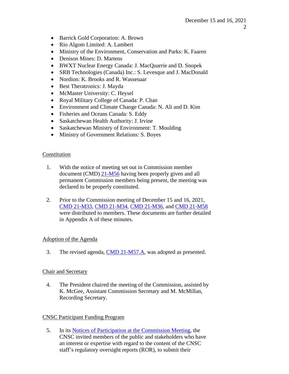- Barrick Gold Corporation: A. Brown
- Rio Algom Limited: A. Lambert
- Ministry of the Environment, Conservation and Parks: K. Faaren
- Denison Mines: D. Martens
- BWXT Nuclear Energy Canada: J. MacQuarrie and D. Snopek
- SRB Technologies (Canada) Inc.: S. Levesque and J. MacDonald
- Nordion: K. Brooks and R. Wassenaar
- Best Theratronics: J. Mayda
- McMaster University: C. Heysel
- Royal Military College of Canada: P. Chan
- Environment and Climate Change Canada: N. Ali and D. Kim
- Fisheries and Oceans Canada: S. Eddy
- Saskatchewan Health Authority: J. Irvine
- Saskatchewan Ministry of Environment: T. Moulding
- Ministry of Government Relations: S. Boyes

## Constitution

- 1. With the notice of meeting set out in Commission member document (CMD) [21-M56](http://nuclearsafety.gc.ca/eng/the-commission/pdf/21-M56-NoticeCommissionMeeting-Dec.15and16-2021-e.pdf) having been properly given and all permanent Commission members being present, the meeting was declared to be properly constituted.
- 2. Prior to the Commission meeting of December 15 and 16, 2021, CMD [21-M33,](https://www.nuclearsafety.gc.ca/eng/the-commission/meetings/cmd/pdf/CMD21/CMD21-M33.pdf) [CMD 21-M34,](https://www.nuclearsafety.gc.ca/eng/the-commission/meetings/cmd/pdf/CMD21/CMD21-M34.pdf) CMD [21-M36,](https://www.nuclearsafety.gc.ca/eng/the-commission/meetings/cmd/pdf/CMD21/CMD21-M36.pdf) and [CMD 21-M58](https://www.nuclearsafety.gc.ca/eng/the-commission/meetings/cmd/pdf/CMD21/CMD21-M58.pdf) were distributed to members. These documents are further detailed in Appendix A of these minutes.

## Adoption of the Agenda

3. The revised agenda, CMD [21-M57.A,](http://nuclearsafety.gc.ca/eng/the-commission/pdf/21-M57.A-RevisedAgendaMeeting-Dec15and16-2021-e.pdf) was adopted as presented.

## Chair and Secretary

4. The President chaired the meeting of the Commission, assisted by K. McGee, Assistant Commission Secretary and M. McMillan, Recording Secretary.

## CNSC Participant Funding Program

5. In its [Notices of Participation at the Commission Meeting,](http://nuclearsafety.gc.ca/eng/the-commission/meetings/documents_browse/index.cfm?mid=264&yr=2021) the CNSC invited members of the public and stakeholders who have an interest or expertise with regard to the content of the CNSC staff's regulatory oversight reports (ROR), to submit their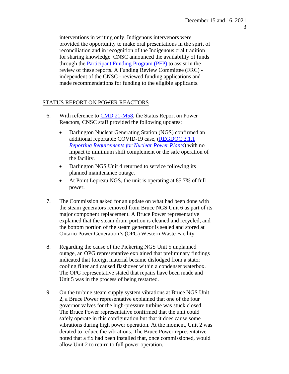interventions in writing only. Indigenous intervenors were provided the opportunity to make oral presentations in the spirit of reconciliation and in recognition of the Indigenous oral tradition for sharing knowledge. CNSC announced the availability of funds through the [Participant Funding Program \(PFP\)](http://nuclearsafety.gc.ca/eng/the-commission/participant-funding-program/index.cfm) to assist in the review of these reports. A Funding Review Committee (FRC) independent of the CNSC - reviewed funding applications and made recommendations for funding to the eligible applicants.

# STATUS REPORT ON POWER REACTORS

- 6. With reference to CMD [21-M58,](https://www.nuclearsafety.gc.ca/eng/the-commission/meetings/cmd/pdf/CMD21/CMD21-M58.pdf) the Status Report on Power Reactors, CNSC staff provided the following updates:
	- Darlington Nuclear Generating Station (NGS) confirmed an additional reportable COVID-19 case, [\(REGDOC 3.1.1](https://nuclearsafety.gc.ca/eng/acts-and-regulations/regulatory-documents/published/html/regdoc3-1-1/index.cfm) *Reporting Requirements [for Nuclear Power Plants](https://nuclearsafety.gc.ca/eng/acts-and-regulations/regulatory-documents/published/html/regdoc3-1-1/index.cfm)*) with no impact to minimum shift complement or the safe operation of the facility.
	- Darlington NGS Unit 4 returned to service following its planned maintenance outage.
	- At Point Lepreau NGS, the unit is operating at 85.7% of full power.
- 7. The Commission asked for an update on what had been done with the steam generators removed from Bruce NGS Unit 6 as part of its major component replacement. A Bruce Power representative explained that the steam drum portion is cleaned and recycled, and the bottom portion of the steam generator is sealed and stored at Ontario Power Generation's (OPG) Western Waste Facility.
- 8. Regarding the cause of the Pickering NGS Unit 5 unplanned outage, an OPG representative explained that preliminary findings indicated that foreign material became dislodged from a stator cooling filter and caused flashover within a condenser waterbox. The OPG representative stated that repairs have been made and Unit 5 was in the process of being restarted.
- 9. On the turbine steam supply system vibrations at Bruce NGS Unit 2, a Bruce Power representative explained that one of the four governor valves for the high-pressure turbine was stuck closed. The Bruce Power representative confirmed that the unit could safely operate in this configuration but that it does cause some vibrations during high power operation. At the moment, Unit 2 was derated to reduce the vibrations. The Bruce Power representative noted that a fix had been installed that, once commissioned, would allow Unit 2 to return to full power operation.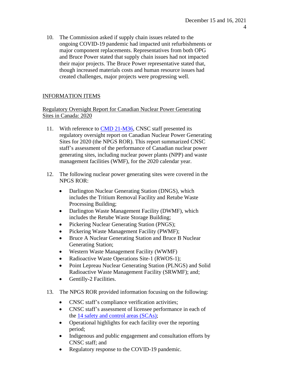10. The Commission asked if supply chain issues related to the ongoing COVID-19 pandemic had impacted unit refurbishments or major component replacements. Representatives from both OPG and Bruce Power stated that supply chain issues had not impacted their major projects. The Bruce Power representative stated that, though increased materials costs and human resource issues had created challenges, major projects were progressing well.

## INFORMATION ITEMS

Regulatory Oversight Report for Canadian Nuclear Power Generating Sites in Canada: 2020

- 11. With reference to CMD [21-M36,](https://www.nuclearsafety.gc.ca/eng/the-commission/meetings/cmd/pdf/CMD21/CMD21-M36.pdf) CNSC staff presented its regulatory oversight report on Canadian Nuclear Power Generating Sites for 2020 (the NPGS ROR). This report summarized CNSC staff's assessment of the performance of Canadian nuclear power generating sites, including nuclear power plants (NPP) and waste management facilities (WMF), for the 2020 calendar year.
- 12. The following nuclear power generating sites were covered in the NPGS ROR:
	- Darlington Nuclear Generating Station (DNGS), which includes the Tritium Removal Facility and Retube Waste Processing Building;
	- Darlington Waste Management Facility (DWMF), which includes the Retube Waste Storage Building;
	- Pickering Nuclear Generating Station (PNGS);
	- Pickering Waste Management Facility (PWMF);
	- Bruce A Nuclear Generating Station and Bruce B Nuclear Generating Station;
	- Western Waste Management Facility (WWMF)
	- Radioactive Waste Operations Site-1 (RWOS-1);
	- Point Lepreau Nuclear Generating Station (PLNGS) and Solid Radioactive Waste Management Facility (SRWMF); and;
	- Gentilly-2 Facilities.
- 13. The NPGS ROR provided information focusing on the following:
	- CNSC staff's compliance verification activities;
	- CNSC staff's assessment of licensee performance in each of the 14 [safety and](https://nuclearsafety.gc.ca/eng/resources/publications/reports/powerindustry/safety-and-control-areas.cfm) control areas (SCAs);
	- Operational highlights for each facility over the reporting period;
	- Indigenous and public engagement and consultation efforts by CNSC staff; and
	- Regulatory response to the COVID-19 pandemic.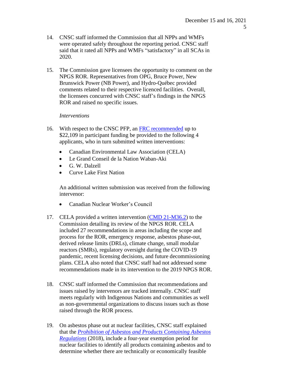- 14. CNSC staff informed the Commission that all NPPs and WMFs were operated safely throughout the reporting period. CNSC staff said that it rated all NPPs and WMFs "satisfactory" in all SCAs in 2020.
- 15. The Commission gave licensees the opportunity to comment on the NPGS ROR. Representatives from OPG, Bruce Power, New Brunswick Power (NB Power), and Hydro-Québec provided comments related to their respective licenced facilities. Overall, the licensees concurred with CNSC staff's findings in the NPGS ROR and raised no specific issues.

#### *Interventions*

- 16. With respect to the CNSC PFP, an **FRC** recommended up to \$22,109 in participant funding be provided to the following 4 applicants, who in turn submitted written interventions:
	- Canadian Environmental Law Association (CELA)
	- Le Grand Conseil de la Nation Waban-Aki
	- G. W. Dalzell
	- Curve Lake First Nation

An additional written submission was received from the following intervenor:

- Canadian Nuclear Worker's Council
- 17. CELA provided a written intervention [\(CMD 21-M36.2\)](https://www.nuclearsafety.gc.ca/eng/the-commission/meetings/cmd/pdf/CMD21/CMD21-M36-2.pdf) to the Commission detailing its review of the NPGS ROR. CELA included 27 recommendations in areas including the scope and process for the ROR, emergency response, asbestos phase-out, derived release limits (DRLs), climate change, small modular reactors (SMRs), regulatory oversight during the COVID-19 pandemic, recent licensing decisions, and future decommissioning plans. CELA also noted that CNSC staff had not addressed some recommendations made in its intervention to the 2019 NPGS ROR.
- 18. CNSC staff informed the Commission that recommendations and issues raised by intervenors are tracked internally. CNSC staff meets regularly with Indigenous Nations and communities as well as non-governmental organizations to discuss issues such as those raised through the ROR process.
- 19. On asbestos phase out at nuclear facilities, CNSC staff explained that the *Prohibition [of Asbestos and Products Containing Asbestos](https://laws-lois.justice.gc.ca/eng/regulations/SOR-2018-196/index.html) [Regulations](https://laws-lois.justice.gc.ca/eng/regulations/SOR-2018-196/index.html)* (2018), include a four-year exemption period for nuclear facilities to identify all products containing asbestos and to determine whether there are technically or economically feasible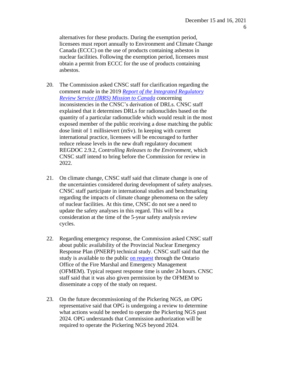alternatives for these products. During the exemption period, licensees must report annually to Environment and Climate Change Canada (ECCC) on the use of products containing asbestos in nuclear facilities. Following the exemption period, licensees must obtain a permit from ECCC for the use of products containing asbestos.

- 20. The Commission asked CNSC staff for clarification regarding the comment made in the 2019 *[Report of the Integrated Regulatory](https://www.iaea.org/sites/default/files/documents/review-missions/irrs_canada_2019_final_report.pdf) Review Service (IRRS) [Mission to Canada](https://www.iaea.org/sites/default/files/documents/review-missions/irrs_canada_2019_final_report.pdf)* concerning inconsistencies in the CNSC's derivation of DRLs. CNSC staff explained that it determines DRLs for radionuclides based on the quantity of a particular radionuclide which would result in the most exposed member of the public receiving a dose matching the public dose limit of 1 millisievert (mSv). In keeping with current international practice, licensees will be encouraged to further reduce release levels in the new draft regulatory document REGDOC 2.9.2, *Controlling Releases to the Environment,* which CNSC staff intend to bring before the Commission for review in 2022.
- 21. On climate change, CNSC staff said that climate change is one of the uncertainties considered during development of safety analyses. CNSC staff participate in international studies and benchmarking regarding the impacts of climate change phenomena on the safety of nuclear facilities. At this time, CNSC do not see a need to update the safety analyses in this regard. This will be a consideration at the time of the 5-year safety analysis review cycles.
- 22. Regarding emergency response, the Commission asked CNSC staff about public availability of the Provincial Nuclear Emergency Response Plan (PNERP) technical study. CNSC staff said that the study is available to the public on [request](https://www.emergencymanagementontario.ca/english/emcommunity/response_resources/plans/technical_study_report_pnerp.html) through the Ontario Office of the Fire Marshal and Emergency Management (OFMEM). Typical request response time is under 24 hours. CNSC staff said that it was also given permission by the OFMEM to disseminate a copy of the study on request.
- 23. On the future decommissioning of the Pickering NGS, an OPG representative said that OPG is undergoing a review to determine what actions would be needed to operate the Pickering NGS past 2024. OPG understands that Commission authorization will be required to operate the Pickering NGS beyond 2024.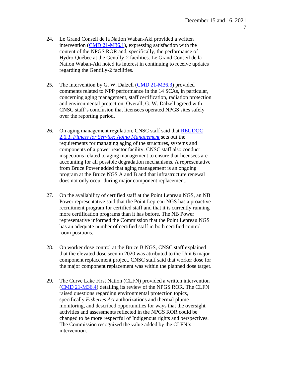- 24. Le Grand Conseil de la Nation Waban-Aki provided a written intervention [\(CMD 21-M36.1\)](https://www.nuclearsafety.gc.ca/eng/the-commission/meetings/cmd/pdf/CMD21/CMD21-M36-1.pdf), expressing satisfaction with the content of the NPGS ROR and, specifically, the performance of Hydro-Québec at the Gentilly-2 facilities. Le Grand Conseil de la Nation Waban-Aki noted its interest in continuing to receive updates regarding the Gentilly-2 facilities.
- 25. The intervention by G. W. Dalzell [\(CMD 21-M36.3\)](https://www.nuclearsafety.gc.ca/eng/the-commission/meetings/cmd/pdf/CMD21/CMD21-M36-3.pdf) provided comments related to NPP performance in the 14 SCAs, in particular, concerning aging management, staff certification, radiation protection and environmental protection. Overall, G. W. Dalzell agreed with CNSC staff's conclusion that licensees operated NPGS sites safely over the reporting period.
- 26. On aging management regulation, CNSC staff said that [REGDOC](https://nuclearsafety.gc.ca/eng/acts-and-regulations/regulatory-documents/published/html/regdoc2-6-3/index.cfm) 2.6.3, *[Fitness for Service: Aging Management](https://nuclearsafety.gc.ca/eng/acts-and-regulations/regulatory-documents/published/html/regdoc2-6-3/index.cfm)* sets out the requirements for managing aging of the structures, systems and components of a power reactor facility. CNSC staff also conduct inspections related to aging management to ensure that licensees are accounting for all possible degradation mechanisms. A representative from Bruce Power added that aging management is an ongoing program at the Bruce NGS A and B and that infrastructure renewal does not only occur during major component replacement.
- 27. On the availability of certified staff at the Point Lepreau NGS, an NB Power representative said that the Point Lepreau NGS has a proactive recruitment program for certified staff and that it is currently running more certification programs than it has before. The NB Power representative informed the Commission that the Point Lepreau NGS has an adequate number of certified staff in both certified control room positions.
- 28. On worker dose control at the Bruce B NGS, CNSC staff explained that the elevated dose seen in 2020 was attributed to the Unit 6 major component replacement project. CNSC staff said that worker dose for the major component replacement was within the planned dose target.
- 29. The Curve Lake First Nation (CLFN) provided a written intervention [\(CMD 21-M36.4\)](https://www.nuclearsafety.gc.ca/eng/the-commission/meetings/cmd/pdf/CMD21/CMD21-M36-4.pdf) detailing its review of the NPGS ROR. The CLFN raised questions regarding environmental protection topics, specifically *Fisheries Act* authorizations and thermal plume monitoring, and described opportunities for ways that the oversight activities and assessments reflected in the NPGS ROR could be changed to be more respectful of Indigenous rights and perspectives. The Commission recognized the value added by the CLFN's intervention.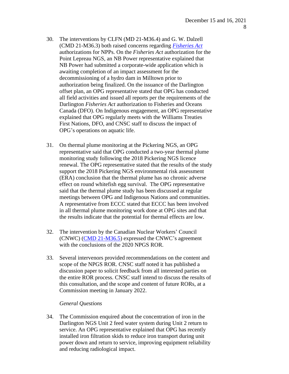- 30. The interventions by CLFN (MD 21-M36.4) and G. W. Dalzell (CMD 21-M36.3) both raised concerns regarding *[Fisheries](https://laws-lois.justice.gc.ca/eng/acts/f-14/) Act* authorizations for NPPs. On the *Fisheries Act* authorization for the Point Lepreau NGS, an NB Power representative explained that NB Power had submitted a corporate-wide application which is awaiting completion of an impact assessment for the decommissioning of a hydro dam in Milltown prior to authorization being finalized. On the issuance of the Darlington offset plan, an OPG representative stated that OPG has conducted all field activities and issued all reports per the requirements of the Darlington *Fisheries Act* authorization to Fisheries and Oceans Canada (DFO). On Indigenous engagement, an OPG representative explained that OPG regularly meets with the Williams Treaties First Nations, DFO, and CNSC staff to discuss the impact of OPG's operations on aquatic life.
- 31. On thermal plume monitoring at the Pickering NGS, an OPG representative said that OPG conducted a two-year thermal plume monitoring study following the 2018 Pickering NGS licence renewal. The OPG representative stated that the results of the study support the 2018 Pickering NGS environmental risk assessment (ERA) conclusion that the thermal plume has no chronic adverse effect on round whitefish egg survival. The OPG representative said that the thermal plume study has been discussed at regular meetings between OPG and Indigenous Nations and communities. A representative from ECCC stated that ECCC has been involved in all thermal plume monitoring work done at OPG sites and that the results indicate that the potential for thermal effects are low.
- 32. The intervention by the Canadian Nuclear Workers' Council (CNWC) [\(CMD 21-M36.5\)](https://www.nuclearsafety.gc.ca/eng/the-commission/meetings/cmd/pdf/CMD21/CMD21-M36-5.pdf) expressed the CNWC's agreement with the conclusions of the 2020 NPGS ROR.
- 33. Several intervenors provided recommendations on the content and scope of the NPGS ROR. CNSC staff noted it has published a discussion paper to solicit feedback from all interested parties on the entire ROR process. CNSC staff intend to discuss the results of this consultation, and the scope and content of future RORs, at a Commission meeting in January 2022.

#### *General Questions*

34. The Commission enquired about the concentration of iron in the Darlington NGS Unit 2 feed water system during Unit 2 return to service. An OPG representative explained that OPG has recently installed iron filtration skids to reduce iron transport during unit power down and return to service, improving equipment reliability and reducing radiological impact.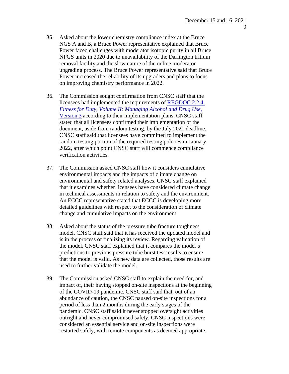- 35. Asked about the lower chemistry compliance index at the Bruce NGS A and B, a Bruce Power representative explained that Bruce Power faced challenges with moderator isotopic purity in all Bruce NPGS units in 2020 due to unavailability of the Darlington tritium removal facility and the slow nature of the online moderator upgrading process. The Bruce Power representative said that Bruce Power increased the reliability of its upgraders and plans to focus on improving chemistry performance in 2022.
- 36. The Commission sought confirmation from CNSC staff that the licensees had implemented the requirements of [REGDOC 2.2.4,](https://nuclearsafety.gc.ca/eng/acts-and-regulations/regulatory-documents/published/html/regdoc2-2-4-v2-version3/index.cfm) *Fitness for Duty, [Volume II: Managing Alcohol](https://nuclearsafety.gc.ca/eng/acts-and-regulations/regulatory-documents/published/html/regdoc2-2-4-v2-version3/index.cfm) and Drug Use,* [Version](https://nuclearsafety.gc.ca/eng/acts-and-regulations/regulatory-documents/published/html/regdoc2-2-4-v2-version3/index.cfm) 3 according to their implementation plans. CNSC staff stated that all licensees confirmed their implementation of the document, aside from random testing, by the July 2021 deadline. CNSC staff said that licensees have committed to implement the random testing portion of the required testing policies in January 2022, after which point CNSC staff will commence compliance verification activities.
- 37. The Commission asked CNSC staff how it considers cumulative environmental impacts and the impacts of climate change on environmental and safety related analyses. CNSC staff explained that it examines whether licensees have considered climate change in technical assessments in relation to safety and the environment. An ECCC representative stated that ECCC is developing more detailed guidelines with respect to the consideration of climate change and cumulative impacts on the environment.
- 38. Asked about the status of the pressure tube fracture toughness model, CNSC staff said that it has received the updated model and is in the process of finalizing its review. Regarding validation of the model, CNSC staff explained that it compares the model's predictions to previous pressure tube burst test results to ensure that the model is valid. As new data are collected, those results are used to further validate the model.
- 39. The Commission asked CNSC staff to explain the need for, and impact of, their having stopped on-site inspections at the beginning of the COVID-19 pandemic. CNSC staff said that, out of an abundance of caution, the CNSC paused on-site inspections for a period of less than 2 months during the early stages of the pandemic. CNSC staff said it never stopped oversight activities outright and never compromised safety. CNSC inspections were considered an essential service and on-site inspections were restarted safely, with remote components as deemed appropriate.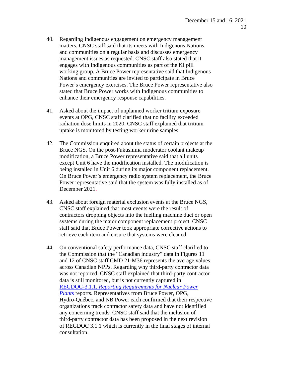- 40. Regarding Indigenous engagement on emergency management matters, CNSC staff said that its meets with Indigenous Nations and communities on a regular basis and discusses emergency management issues as requested. CNSC staff also stated that it engages with Indigenous communities as part of the KI pill working group. A Bruce Power representative said that Indigenous Nations and communities are invited to participate in Bruce Power's emergency exercises. The Bruce Power representative also stated that Bruce Power works with Indigenous communities to enhance their emergency response capabilities.
- 41. Asked about the impact of unplanned worker tritium exposure events at OPG, CNSC staff clarified that no facility exceeded radiation dose limits in 2020. CNSC staff explained that tritium uptake is monitored by testing worker urine samples.
- 42. The Commission enquired about the status of certain projects at the Bruce NGS. On the post-Fukushima moderator coolant makeup modification, a Bruce Power representative said that all units except Unit 6 have the modification installed. The modification is being installed in Unit 6 during its major component replacement. On Bruce Power's emergency radio system replacement, the Bruce Power representative said that the system was fully installed as of December 2021.
- 43. Asked about foreign material exclusion events at the Bruce NGS, CNSC staff explained that most events were the result of contractors dropping objects into the fuelling machine duct or open systems during the major component replacement project. CNSC staff said that Bruce Power took appropriate corrective actions to retrieve each item and ensure that systems were cleaned.
- 44. On conventional safety performance data, CNSC staff clarified to the Commission that the "Canadian industry" data in Figures 11 and 12 of CNSC staff CMD 21-M36 represents the average values across Canadian NPPs. Regarding why third-party contractor data was not reported, CNSC staff explained that third-party contractor data is still monitored, but is not currently captured in REGDOC-3.1.1, *Reporting Requirements [for Nuclear Power](https://nuclearsafety.gc.ca/eng/acts-and-regulations/regulatory-documents/published/html/regdoc3-1-1/index.cfm) [Plant](https://nuclearsafety.gc.ca/eng/acts-and-regulations/regulatory-documents/published/html/regdoc3-1-1/index.cfm)*s reports. Representatives from Bruce Power, OPG, Hydro-Québec, and NB Power each confirmed that their respective organizations track contractor safety data and have not identified any concerning trends. CNSC staff said that the inclusion of third-party contractor data has been proposed in the next revision of REGDOC 3.1.1 which is currently in the final stages of internal consultation.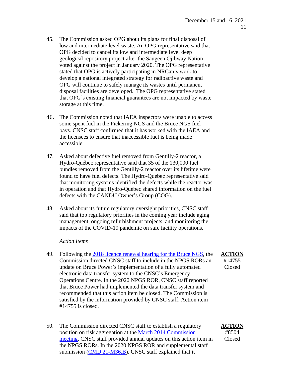- 45. The Commission asked OPG about its plans for final disposal of low and intermediate level waste. An OPG representative said that OPG decided to cancel its low and intermediate level deep geological repository project after the Saugeen Ojibway Nation voted against the project in January 2020. The OPG representative stated that OPG is actively participating in NRCan's work to develop a national integrated strategy for radioactive waste and OPG will continue to safely manage its wastes until permanent disposal facilities are developed. The OPG representative stated that OPG's existing financial guarantees are not impacted by waste storage at this time.
- 46. The Commission noted that IAEA inspectors were unable to access some spent fuel in the Pickering NGS and the Bruce NGS fuel bays. CNSC staff confirmed that it has worked with the IAEA and the licensees to ensure that inaccessible fuel is being made accessible.
- 47. Asked about defective fuel removed from Gentilly-2 reactor, a Hydro-Québec representative said that 35 of the 130,000 fuel bundles removed from the Gentilly-2 reactor over its lifetime were found to have fuel defects. The Hydro-Québec representative said that monitoring systems identified the defects while the reactor was in operation and that Hydro-Québec shared information on the fuel defects with the CANDU Owner's Group (COG).
- 48. Asked about its future regulatory oversight priorities, CNSC staff said that top regulatory priorities in the coming year include aging management, ongoing refurbishment projects, and monitoring the impacts of the COVID-19 pandemic on safe facility operations.

#### *Action Items*

- 49. Following the 2018 licence renewal [hearing for the Bruce NGS,](http://nuclearsafety.gc.ca/eng/the-commission/pdf/Decision-BrucePower-Relicensing2018-e.pdf) the Commission directed CNSC staff to include in the NPGS RORs an update on Bruce Power's implementation of a fully automated electronic data transfer system to the CNSC's Emergency Operations Centre. In the 2020 NPGS ROR, CNSC staff reported that Bruce Power had implemented the data transfer system and recommended that this action item be closed. The Commission is satisfied by the information provided by CNSC staff. Action item #14755 is closed.
- 50. The Commission directed CNSC staff to establish a regulatory position on risk aggregation at the [March 2014 Commission](http://nuclearsafety.gc.ca/eng/the-commission/pdf/2014-03-27-Minutes-e-Final-Edocs4431644.pdf) [meeting.](http://nuclearsafety.gc.ca/eng/the-commission/pdf/2014-03-27-Minutes-e-Final-Edocs4431644.pdf) CNSC staff provided annual updates on this action item in the NPGS RORs. In the 2020 NPGS ROR and supplemental staff submission [\(CMD 21-M36.B\)](https://www.nuclearsafety.gc.ca/eng/the-commission/meetings/cmd/pdf/CMD21/CMD21-M36-B.pdf), CNSC staff explained that it

**ACTION** #8504 Closed

**ACTION** #14755

Closed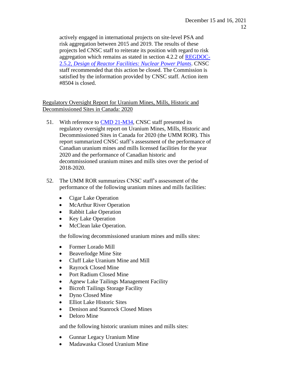actively engaged in international projects on site-level PSA and risk aggregation between 2015 and 2019. The results of these projects led CNSC staff to reiterate its position with regard to risk aggregation which remains as stated in section 4.2.2 of [REGDOC-](https://nuclearsafety.gc.ca/eng/acts-and-regulations/regulatory-documents/published/html/regdoc2-5-2/index.cfm#sec4-2-2)2.5.2, *[Design of Reactor Facilities:](https://nuclearsafety.gc.ca/eng/acts-and-regulations/regulatory-documents/published/html/regdoc2-5-2/index.cfm#sec4-2-2) Nuclear Power Plants*. CNSC staff recommended that this action be closed. The Commission is satisfied by the information provided by CNSC staff. Action item #8504 is closed.

## Regulatory Oversight Report for Uranium Mines, Mills, Historic and Decommissioned Sites in Canada: 2020

- 51. With reference to CMD [21-M34,](https://www.nuclearsafety.gc.ca/eng/the-commission/meetings/cmd/pdf/CMD21/CMD21-M34.pdf) CNSC staff presented its regulatory oversight report on Uranium Mines, Mills, Historic and Decommissioned Sites in Canada for 2020 (the UMM ROR). This report summarized CNSC staff's assessment of the performance of Canadian uranium mines and mills licensed facilities for the year 2020 and the performance of Canadian historic and decommissioned uranium mines and mills sites over the period of 2018-2020.
- 52. The UMM ROR summarizes CNSC staff's assessment of the performance of the following uranium mines and mills facilities:
	- Cigar Lake Operation
	- McArthur River Operation
	- Rabbit Lake Operation
	- Key Lake Operation
	- McClean lake Operation.

the following decommissioned uranium mines and mills sites:

- Former Lorado Mill
- Beaverlodge Mine Site
- Cluff Lake Uranium Mine and Mill
- Rayrock Closed Mine
- Port Radium Closed Mine
- Agnew Lake Tailings Management Facility
- Bicroft Tailings Storage Facility
- Dyno Closed Mine
- Elliot Lake Historic Sites
- Denison and Stanrock Closed Mines
- Deloro Mine

and the following historic uranium mines and mills sites:

- Gunnar Legacy Uranium Mine
- Madawaska Closed Uranium Mine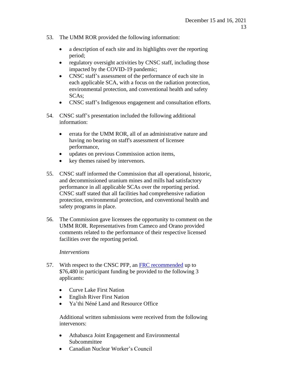- 53. The UMM ROR provided the following information:
	- a description of each site and its highlights over the reporting period;
	- regulatory oversight activities by CNSC staff, including those impacted by the COVID-19 pandemic;
	- CNSC staff's assessment of the performance of each site in each applicable SCA, with a focus on the radiation protection, environmental protection, and conventional health and safety SCAs;
	- CNSC staff's Indigenous engagement and consultation efforts.
- 54. CNSC staff's presentation included the following additional information:
	- errata for the UMM ROR, all of an administrative nature and having no bearing on staff's assessment of licensee performance,
	- updates on previous Commission action items,
	- key themes raised by intervenors.
- 55. CNSC staff informed the Commission that all operational, historic, and decommissioned uranium mines and mills had satisfactory performance in all applicable SCAs over the reporting period. CNSC staff stated that all facilities had comprehensive radiation protection, environmental protection, and conventional health and safety programs in place.
- 56. The Commission gave licensees the opportunity to comment on the UMM ROR. Representatives from Cameco and Orano provided comments related to the performance of their respective licensed facilities over the reporting period.

## *Interventions*

- 57. With respect to the CNSC PFP, an [FRC recommended](http://nuclearsafety.gc.ca/eng/the-commission/participant-funding-program/opportunities/pfp-2021-UMM-ROR.cfm) up to \$76,480 in participant funding be provided to the following 3 applicants:
	- Curve Lake First Nation
	- English River First Nation
	- Ya'thi Néné Land and Resource Office

Additional written submissions were received from the following intervenors:

- Athabasca Joint Engagement and Environmental Subcommittee
- Canadian Nuclear Worker's Council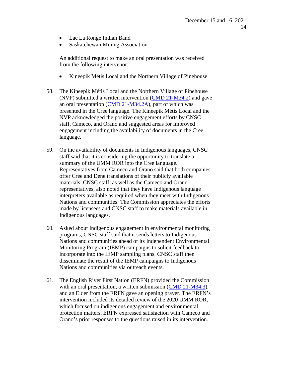- Lac La Ronge Indian Band
- Saskatchewan Mining Association

An additional request to make an oral presentation was received from the following intervenor:

- Kineepik Métis Local and the Northern Village of Pinehouse
- 58. The Kineepik Métis Local and the Northern Village of Pinehouse (NVP) submitted a written intervention [\(CMD 21-M34.2\)](https://www.nuclearsafety.gc.ca/eng/the-commission/meetings/cmd/pdf/CMD21/CMD21-M34-2.pdf) and gave an oral presentation [\(CMD 21-M34.2A\)](https://www.nuclearsafety.gc.ca/eng/the-commission/meetings/cmd/pdf/CMD21/CMD21-M34-2A.pdf), part of which was presented in the Cree language. The Kineepik Métis Local and the NVP acknowledged the positive engagement efforts by CNSC staff, Cameco, and Orano and suggested areas for improved engagement including the availability of documents in the Cree language.
- 59. On the availability of documents in Indigenous languages, CNSC staff said that it is considering the opportunity to translate a summary of the UMM ROR into the Cree language. Representatives from Cameco and Orano said that both companies offer Cree and Dene translations of their publicly available materials. CNSC staff, as well as the Cameco and Orano representatives, also noted that they have Indigenous language interpreters available as required when they meet with Indigenous Nations and communities. The Commission appreciates the efforts made by licensees and CNSC staff to make materials available in Indigenous languages.
- 60. Asked about Indigenous engagement in environmental monitoring programs, CNSC staff said that it sends letters to Indigenous Nations and communities ahead of its Independent Environmental Monitoring Program (IEMP) campaigns to solicit feedback to incorporate into the IEMP sampling plans. CNSC staff then disseminate the result of the IEMP campaigns to Indigenous Nations and communities via outreach events.
- 61. The English River First Nation (ERFN) provided the Commission with an oral presentation, a written submission [\(CMD 21-M34.3\)](https://www.nuclearsafety.gc.ca/eng/the-commission/meetings/cmd/pdf/CMD21/CMD21-M34-3.pdf), and an Elder from the ERFN gave an opening prayer. The ERFN's intervention included its detailed review of the 2020 UMM ROR, which focused on indigenous engagement and environmental protection matters. ERFN expressed satisfaction with Cameco and Orano's prior responses to the questions raised in its intervention.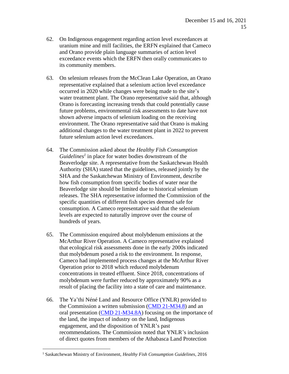- 62. On Indigenous engagement regarding action level exceedances at uranium mine and mill facilities, the ERFN explained that Cameco and Orano provide plain language summaries of action level exceedance events which the ERFN then orally communicates to its community members.
- 63. On selenium releases from the McClean Lake Operation, an Orano representative explained that a selenium action level exceedance occurred in 2020 while changes were being made to the site's water treatment plant. The Orano representative said that, although Orano is forecasting increasing trends that could potentially cause future problems, environmental risk assessments to date have not shown adverse impacts of selenium loading on the receiving environment. The Orano representative said that Orano is making additional changes to the water treatment plant in 2022 to prevent future selenium action level exceedances.
- 64. The Commission asked about the *Healthy Fish Consumption Guidelines<sup>1</sup>* in place for water bodies downstream of the Beaverlodge site. A representative from the Saskatchewan Health Authority (SHA) stated that the guidelines, released jointly by the SHA and the Saskatchewan Ministry of Environment, describe how fish consumption from specific bodies of water near the Beaverlodge site should be limited due to historical selenium releases. The SHA representative informed the Commission of the specific quantities of different fish species deemed safe for consumption. A Cameco representative said that the selenium levels are expected to naturally improve over the course of hundreds of years.
- 65. The Commission enquired about molybdenum emissions at the McArthur River Operation. A Cameco representative explained that ecological risk assessments done in the early 2000s indicated that molybdenum posed a risk to the environment. In response, Cameco had implemented process changes at the McArthur River Operation prior to 2018 which reduced molybdenum concentrations in treated effluent. Since 2018, concentrations of molybdenum were further reduced by approximately 90% as a result of placing the facility into a state of care and maintenance.
- 66. The Ya'thi Néné Land and Resource Office (YNLR) provided to the Commission a written submission [\(CMD 21-M34.8\)](https://www.nuclearsafety.gc.ca/eng/the-commission/meetings/cmd/pdf/CMD21/CMD21-M34-8.pdf) and an oral presentation [\(CMD 21-M34.8A\)](https://www.nuclearsafety.gc.ca/eng/the-commission/meetings/cmd/pdf/CMD21/CMD21-M34-8A.pdf) focusing on the importance of the land, the impact of industry on the land, Indigenous engagement, and the disposition of YNLR's past recommendations. The Commission noted that YNLR's inclusion of direct quotes from members of the Athabasca Land Protection

<sup>1</sup> Saskatchewan Ministry of Environment, *Healthy Fish Consumption Guidelines*, 2016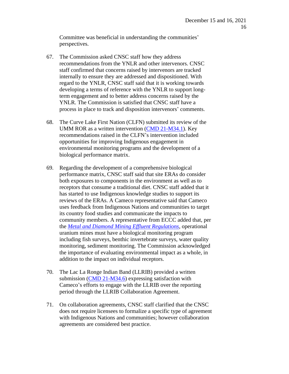Committee was beneficial in understanding the communities' perspectives.

- 67. The Commission asked CNSC staff how they address recommendations from the YNLR and other intervenors. CNSC staff confirmed that concerns raised by intervenors are tracked internally to ensure they are addressed and dispositioned. With regard to the YNLR, CNSC staff said that it is working towards developing a terms of reference with the YNLR to support longterm engagement and to better address concerns raised by the YNLR. The Commission is satisfied that CNSC staff have a process in place to track and disposition intervenors' comments.
- 68. The Curve Lake First Nation (CLFN) submitted its review of the UMM ROR as a written intervention [\(CMD 21-M34.1\)](https://www.nuclearsafety.gc.ca/eng/the-commission/meetings/cmd/pdf/CMD21/CMD21-M34-1.pdf). Key recommendations raised in the CLFN's intervention included opportunities for improving Indigenous engagement in environmental monitoring programs and the development of a biological performance matrix.
- 69. Regarding the development of a comprehensive biological performance matrix, CNSC staff said that site ERAs do consider both exposures to components in the environment as well as to receptors that consume a traditional diet. CNSC staff added that it has started to use Indigenous knowledge studies to support its reviews of the ERAs. A Cameco representative said that Cameco uses feedback from Indigenous Nations and communities to target its country food studies and communicate the impacts to community members. A representative from ECCC added that, per the *[Metal and Diamond Mining Effluent Regulations](https://laws-lois.justice.gc.ca/eng/regulations/sor-2002-222/)*, operational uranium mines must have a biological monitoring program including fish surveys, benthic invertebrate surveys, water quality monitoring, sediment monitoring. The Commission acknowledged the importance of evaluating environmental impact as a whole, in addition to the impact on individual receptors.
- 70. The Lac La Ronge Indian Band (LLRIB) provided a written submission [\(CMD 21-M34.6\)](https://www.nuclearsafety.gc.ca/eng/the-commission/meetings/cmd/pdf/CMD21/CMD21-M34-6.pdf) expressing satisfaction with Cameco's efforts to engage with the LLRIB over the reporting period through the LLRIB Collaboration Agreement.
- 71. On collaboration agreements, CNSC staff clarified that the CNSC does not require licensees to formalize a specific type of agreement with Indigenous Nations and communities; however collaboration agreements are considered best practice.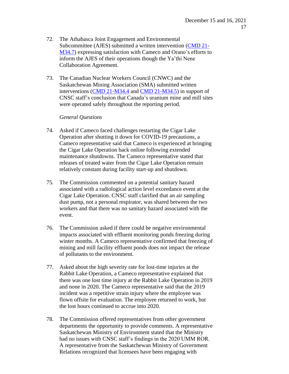- 72. The Athabasca Joint Engagement and Environmental Subcommittee (AJES) submitted a written intervention [\(CMD 21-](https://www.nuclearsafety.gc.ca/eng/the-commission/meetings/cmd/pdf/CMD21/CMD21-M34-7.pdf) [M34.7\)](https://www.nuclearsafety.gc.ca/eng/the-commission/meetings/cmd/pdf/CMD21/CMD21-M34-7.pdf) expressing satisfaction with Cameco and Orano's efforts to inform the AJES of their operations though the Ya'thi Nene Collaboration Agreement.
- 73. The Canadian Nuclear Workers Council (CNWC) and the Saskatchewan Mining Association (SMA) submitted written interventions [\(CMD 21-M34.4](https://www.nuclearsafety.gc.ca/eng/the-commission/meetings/cmd/pdf/CMD21/CMD21-M34-4.pdf) and [CMD 21-M34.5\)](https://www.nuclearsafety.gc.ca/eng/the-commission/meetings/cmd/pdf/CMD21/CMD21-M34-5.pdf) in support of CNSC staff's conclusion that Canada's uranium mine and mill sites were operated safely throughout the reporting period.

#### *General Questions*

- 74. Asked if Cameco faced challenges restarting the Cigar Lake Operation after shutting it down for COVID-19 precautions, a Cameco representative said that Cameco is experienced at bringing the Cigar Lake Operation back online following extended maintenance shutdowns. The Cameco representative stated that releases of treated water from the Cigar Lake Operation remain relatively constant during facility start-up and shutdown.
- 75. The Commission commented on a potential sanitary hazard associated with a radiological action level exceedance event at the Cigar Lake Operation. CNSC staff clarified that an air sampling dust pump, not a personal respirator, was shared between the two workers and that there was no sanitary hazard associated with the event.
- 76. The Commission asked if there could be negative environmental impacts associated with effluent monitoring ponds freezing during winter months. A Cameco representative confirmed that freezing of mining and mill facility effluent ponds does not impact the release of pollutants to the environment.
- 77. Asked about the high severity rate for lost-time injuries at the Rabbit Lake Operation, a Cameco representative explained that there was one lost time injury at the Rabbit Lake Operation in 2019 and none in 2020. The Cameco representative said that the 2019 incident was a repetitive strain injury where the employee was flown offsite for evaluation. The employee returned to work, but the lost hours continued to accrue into 2020.
- 78. The Commission offered representatives from other government departments the opportunity to provide comments. A representative Saskatchewan Ministry of Environment stated that the Ministry had no issues with CNSC staff's findings in the 2020 UMM ROR. A representative from the Saskatchewan Ministry of Government Relations recognized that licensees have been engaging with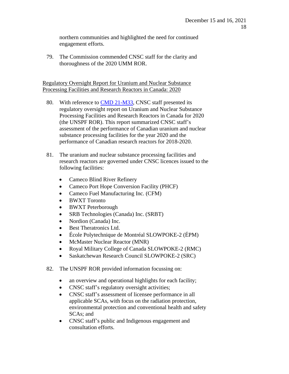northern communities and highlighted the need for continued engagement efforts.

79. The Commission commended CNSC staff for the clarity and thoroughness of the 2020 UMM ROR.

Regulatory Oversight Report for Uranium and Nuclear Substance Processing Facilities and Research Reactors in Canada: 2020

- 80. With reference to CMD [21-M33,](https://www.nuclearsafety.gc.ca/eng/the-commission/meetings/cmd/pdf/CMD21/CMD21-M33.pdf) CNSC staff presented its regulatory oversight report on Uranium and Nuclear Substance Processing Facilities and Research Reactors in Canada for 2020 (the UNSPF ROR). This report summarized CNSC staff's assessment of the performance of Canadian uranium and nuclear substance processing facilities for the year 2020 and the performance of Canadian research reactors for 2018-2020.
- 81. The uranium and nuclear substance processing facilities and research reactors are governed under CNSC licences issued to the following facilities:
	- Cameco Blind River Refinery
	- Cameco Port Hope Conversion Facility (PHCF)
	- Cameco Fuel Manufacturing Inc. (CFM)
	- BWXT Toronto
	- BWXT Peterborough
	- SRB Technologies (Canada) Inc. (SRBT)
	- Nordion (Canada) Inc.
	- Best Theratronics Ltd.
	- École Polytechnique de Montréal SLOWPOKE-2 (ÉPM)
	- McMaster Nuclear Reactor (MNR)
	- Royal Military College of Canada SLOWPOKE-2 (RMC)
	- Saskatchewan Research Council SLOWPOKE-2 (SRC)
- 82. The UNSPF ROR provided information focussing on:
	- an overview and operational highlights for each facility;
	- CNSC staff's regulatory oversight activities;
	- CNSC staff's assessment of licensee performance in all applicable SCAs, with focus on the radiation protection, environmental protection and conventional health and safety SCAs; and
	- CNSC staff's public and Indigenous engagement and consultation efforts.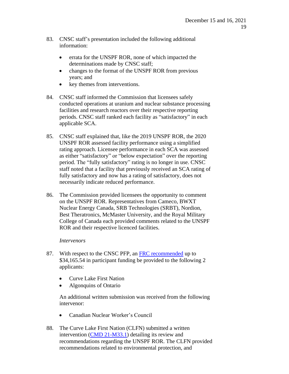- 83. CNSC staff's presentation included the following additional information:
	- errata for the UNSPF ROR, none of which impacted the determinations made by CNSC staff;
	- changes to the format of the UNSPF ROR from previous years; and
	- key themes from interventions.
- 84. CNSC staff informed the Commission that licensees safely conducted operations at uranium and nuclear substance processing facilities and research reactors over their respective reporting periods. CNSC staff ranked each facility as "satisfactory" in each applicable SCA.
- 85. CNSC staff explained that, like the 2019 UNSPF ROR, the 2020 UNSPF ROR assessed facility performance using a simplified rating approach. Licensee performance in each SCA was assessed as either "satisfactory" or "below expectation" over the reporting period. The "fully satisfactory" rating is no longer in use. CNSC staff noted that a facility that previously received an SCA rating of fully satisfactory and now has a rating of satisfactory, does not necessarily indicate reduced performance.
- 86. The Commission provided licensees the opportunity to comment on the UNSPF ROR. Representatives from Cameco, BWXT Nuclear Energy Canada, SRB Technologies (SRBT), Nordion, Best Theratronics, McMaster University, and the Royal Military College of Canada each provided comments related to the UNSPF ROR and their respective licenced facilities.

## *Intervenors*

- 87. With respect to the CNSC PFP, an [FRC recommended](http://nuclearsafety.gc.ca/eng/the-commission/participant-funding-program/opportunities/pfp-2021-UNSPF-ROR.cfm) up to \$34,165.54 in participant funding be provided to the following 2 applicants:
	- Curve Lake First Nation
	- Algonquins of Ontario

An additional written submission was received from the following intervenor:

- Canadian Nuclear Worker's Council
- 88. The Curve Lake First Nation (CLFN) submitted a written intervention [\(CMD 21-M33.1\)](https://www.nuclearsafety.gc.ca/eng/the-commission/meetings/cmd/pdf/CMD21/CMD21-M33-1.pdf) detailing its review and recommendations regarding the UNSPF ROR. The CLFN provided recommendations related to environmental protection, and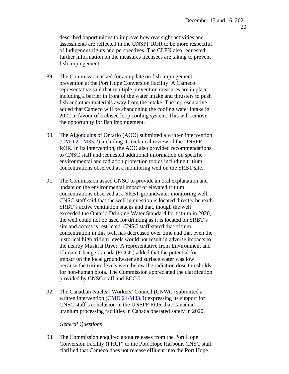described opportunities to improve how oversight activities and assessments are reflected in the UNSPF ROR to be more respectful of Indigenous rights and perspectives. The CLFN also requested further information on the measures licensees are taking to prevent fish impingement.

- 89. The Commission asked for an update on fish impingement prevention at the Port Hope Conversion Facility. A Cameco representative said that multiple prevention measures are in place including a barrier in front of the water intake and thrusters to push fish and other materials away from the intake. The representative added that Cameco will be abandoning the cooling water intake in 2022 in favour of a closed loop cooling system. This will remove the opportunity for fish impingement.
- 90. The Algonquins of Ontario (AOO) submitted a written intervention [\(CMD 21-M33.2\)](https://www.nuclearsafety.gc.ca/eng/the-commission/meetings/cmd/pdf/CMD21/CMD21-M33-2.pdf) including its technical review of the UNSPF ROR. In its intervention, the AOO also provided recommendations to CNSC staff and requested additional information on specific environmental and radiation protection topics including tritium concentrations observed at a monitoring well on the SRBT site.
- 91. The Commission asked CNSC to provide an oral explanation and update on the environmental impact of elevated tritium concentrations observed at a SRBT groundwater monitoring well. CNSC staff said that the well in question is located directly beneath SRBT's active ventilation stacks and that, though the well exceeded the Ontario Drinking Water Standard for tritium in 2020, the well could not be used for drinking as it is located on SRBT's site and access is restricted. CNSC staff stated that tritium concentration in this well has decreased over time and that even the historical high tritium levels would not result in adverse impacts to the nearby Muskrat River. A representative from Environment and Climate Change Canada (ECCC) added that the potential for impact on the local groundwater and surface water was low because the tritium levels were below the radiation dose thresholds for non-human biota. The Commission appreciated the clarification provided by CNSC staff and ECCC.
- 92. The Canadian Nuclear Workers' Council (CNWC) submitted a written intervention  $(CMD 21-M33.3)$  expressing its support for CNSC staff's conclusion in the UNSPF ROR that Canadian uranium processing facilities in Canada operated safely in 2020.

#### *General Questions*

93. The Commission enquired about releases from the Port Hope Conversion Facility (PHCF) to the Port Hope Harbour. CNSC staff clarified that Cameco does not release effluent into the Port Hope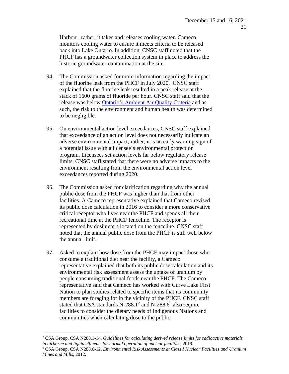Harbour, rather, it takes and releases cooling water. Cameco monitors cooling water to ensure it meets criteria to be released back into Lake Ontario. In addition, CNSC staff noted that the PHCF has a groundwater collection system in place to address the historic groundwater contamination at the site.

- 94. The Commission asked for more information regarding the impact of the fluorine leak from the PHCF in July 2020. CNSC staff explained that the fluorine leak resulted in a peak release at the stack of 1600 grams of fluoride per hour. CNSC staff said that the release was below Ontario's [Ambient Air Quality](https://www.ontario.ca/page/ontarios-ambient-air-quality-criteria#:~:text=Ontario%E2%80%99s%20Ambient%20Air%20Quality%20Criteria%201%20Overview.%20...,be%20used%20with%20isomer%20specific%20analytical%20results.%20) Criteria and as such, the risk to the environment and human health was determined to be negligible.
- 95. On environmental action level exceedances, CNSC staff explained that exceedance of an action level does not necessarily indicate an adverse environmental impact; rather, it is an early warning sign of a potential issue with a licensee's environmental protection program. Licensees set action levels far below regulatory release limits. CNSC staff stated that there were no adverse impacts to the environment resulting from the environmental action level exceedances reported during 2020.
- 96. The Commission asked for clarification regarding why the annual public dose from the PHCF was higher than that from other facilities. A Cameco representative explained that Cameco revised its public dose calculation in 2016 to consider a more conservative critical receptor who lives near the PHCF and spends all their recreational time at the PHCF fenceline. The receptor is represented by dosimeters located on the fenceline. CNSC staff noted that the annual public dose from the PHCF is still well below the annual limit.
- 97. Asked to explain how dose from the PHCF may impact those who consume a traditional diet near the facility, a Cameco representative explained that both its public dose calculation and its environmental risk assessment assess the uptake of uranium by people consuming traditional foods near the PHCF. The Cameco representative said that Cameco has worked with Curve Lake First Nation to plan studies related to specific items that its community members are foraging for in the vicinity of the PHCF. CNSC staff stated that CSA standards N-288.1<sup>2</sup> and N-288.6<sup>3</sup> also require facilities to consider the dietary needs of Indigenous Nations and communities when calculating dose to the public.

<sup>2</sup> CSA Group, CSA N288.1-14, *Guidelines for calculating derived release limits for radioactive materials in airborne and liquid effluents for normal operation of nuclear facilities*, 2019.

<sup>3</sup> CSA Group, CSA N288.6-12, *Environmental Risk Assessments at Class I Nuclear Facilities and Uranium Mines and Mills*, 2012.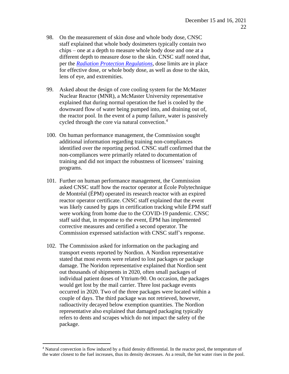- 98. On the measurement of skin dose and whole body dose, CNSC staff explained that whole body dosimeters typically contain two chips – one at a depth to measure whole body dose and one at a different depth to measure dose to the skin. CNSC staff noted that, per the *[Radiation Protection Regulations](https://laws-lois.justice.gc.ca/eng/regulations/SOR-2000-203/index.html)*, dose limits are in place for effective dose, or whole body dose, as well as dose to the skin, lens of eye, and extremities.
- 99. Asked about the design of core cooling system for the McMaster Nuclear Reactor (MNR), a McMaster University representative explained that during normal operation the fuel is cooled by the downward flow of water being pumped into, and draining out of, the reactor pool. In the event of a pump failure, water is passively cycled through the core via natural convection. 4
- 100. On human performance management, the Commission sought additional information regarding training non-compliances identified over the reporting period. CNSC staff confirmed that the non-compliances were primarily related to documentation of training and did not impact the robustness of licensees' training programs.
- 101. Further on human performance management, the Commission asked CNSC staff how the reactor operator at École Polytechnique de Montréal (ÉPM) operated its research reactor with an expired reactor operator certificate. CNSC staff explained that the event was likely caused by gaps in certification tracking while ÉPM staff were working from home due to the COVID-19 pandemic. CNSC staff said that, in response to the event, ÉPM has implemented corrective measures and certified a second operator. The Commission expressed satisfaction with CNSC staff's response.
- 102. The Commission asked for information on the packaging and transport events reported by Nordion. A Nordion representative stated that most events were related to lost packages or package damage. The Noridon representative explained that Nordion sent out thousands of shipments in 2020, often small packages of individual patient doses of Yttrium-90. On occasion, the packages would get lost by the mail carrier. Three lost package events occurred in 2020. Two of the three packages were located within a couple of days. The third package was not retrieved, however, radioactivity decayed below exemption quantities. The Nordion representative also explained that damaged packaging typically refers to dents and scrapes which do not impact the safety of the package.

<sup>&</sup>lt;sup>4</sup> Natural convection is flow induced by a fluid density differential. In the reactor pool, the temperature of the water closest to the fuel increases, thus its density decreases. As a result, the hot water rises in the pool.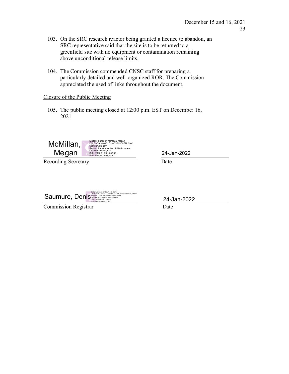- 103. On the SRC research reactor being granted a licence to abandon, an SRC representative said that the site is to be returned to a greenfield site with no equipment or contamination remaining above unconditional release limits.
- 104. The Commission commended CNSC staff for preparing a particularly detailed and well-organized ROR. The Commission appreciated the used of links throughout the document.

## Closure of the Public Meeting

105. The public meeting closed at 12:00 p.m. EST on December 16, 2021



Digitally signed by McMillan, Megan"<br>DN: C=CA, O=GC, OU=CNSC-CCSN, CN="<br>McMillan, Megan"<br>Eoason: I am the author of this document<br>Location: Ottawa, ON<br>Date: 2022-01-2414:52:32<br>Poxit Reader Version: 9.7.1

Recording Secretary Date

24-Jan-2022

| Digitally signed by Saumure, Denis<br>DN: C=CA, O=GC, OU=CNSC-CCSN, CN="Saumure, Denis"<br>Saumure, Denis boation: your signing location here<br>Date: 2022-01-24 16:12:32<br>Foxit Reader Version: 9.7.1 |  |
|-----------------------------------------------------------------------------------------------------------------------------------------------------------------------------------------------------------|--|
|-----------------------------------------------------------------------------------------------------------------------------------------------------------------------------------------------------------|--|

Commission Registrar Date

24-Jan-2022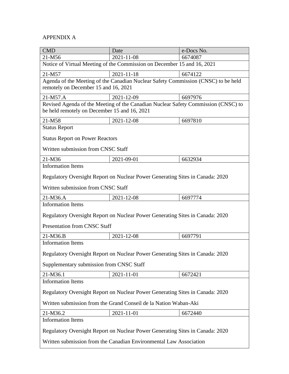# APPENDIX A

| <b>CMD</b>                                                                                                                        | Date                                                                    | e-Docs No. |  |  |
|-----------------------------------------------------------------------------------------------------------------------------------|-------------------------------------------------------------------------|------------|--|--|
| 21-M56                                                                                                                            | 2021-11-08                                                              | 6674087    |  |  |
|                                                                                                                                   | Notice of Virtual Meeting of the Commission on December 15 and 16, 2021 |            |  |  |
| 21-M57                                                                                                                            | 2021-11-18                                                              | 6674122    |  |  |
| Agenda of the Meeting of the Canadian Nuclear Safety Commission (CNSC) to be held<br>remotely on December 15 and 16, 2021         |                                                                         |            |  |  |
| 21-M57.A                                                                                                                          | 2021-12-09                                                              | 6697976    |  |  |
| Revised Agenda of the Meeting of the Canadian Nuclear Safety Commission (CNSC) to<br>be held remotely on December 15 and 16, 2021 |                                                                         |            |  |  |
| 21-M58                                                                                                                            | 2021-12-08                                                              | 6697810    |  |  |
| <b>Status Report</b>                                                                                                              |                                                                         |            |  |  |
| <b>Status Report on Power Reactors</b>                                                                                            |                                                                         |            |  |  |
| Written submission from CNSC Staff                                                                                                |                                                                         |            |  |  |
| 21-M36                                                                                                                            | 2021-09-01                                                              | 6632934    |  |  |
| <b>Information Items</b>                                                                                                          |                                                                         |            |  |  |
| Regulatory Oversight Report on Nuclear Power Generating Sites in Canada: 2020                                                     |                                                                         |            |  |  |
| Written submission from CNSC Staff                                                                                                |                                                                         |            |  |  |
| 21-M36.A                                                                                                                          | 2021-12-08                                                              | 6697774    |  |  |
| <b>Information Items</b>                                                                                                          |                                                                         |            |  |  |
| Regulatory Oversight Report on Nuclear Power Generating Sites in Canada: 2020                                                     |                                                                         |            |  |  |
| <b>Presentation from CNSC Staff</b>                                                                                               |                                                                         |            |  |  |
| 21-M36.B                                                                                                                          | 2021-12-08                                                              | 6697791    |  |  |
| <b>Information Items</b>                                                                                                          |                                                                         |            |  |  |
| Regulatory Oversight Report on Nuclear Power Generating Sites in Canada: 2020                                                     |                                                                         |            |  |  |
| Supplementary submission from CNSC Staff                                                                                          |                                                                         |            |  |  |
| 21-M36.1                                                                                                                          | 2021-11-01                                                              | 6672421    |  |  |
| <b>Information Items</b>                                                                                                          |                                                                         |            |  |  |
| Regulatory Oversight Report on Nuclear Power Generating Sites in Canada: 2020                                                     |                                                                         |            |  |  |
| Written submission from the Grand Conseil de la Nation Waban-Aki                                                                  |                                                                         |            |  |  |
| 21-M36.2                                                                                                                          | 2021-11-01                                                              | 6672440    |  |  |
| <b>Information Items</b>                                                                                                          |                                                                         |            |  |  |
| Regulatory Oversight Report on Nuclear Power Generating Sites in Canada: 2020                                                     |                                                                         |            |  |  |
| Written submission from the Canadian Environmental Law Association                                                                |                                                                         |            |  |  |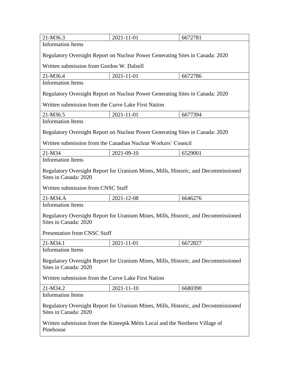| 21-M36.3                                                                                                    | 2021-11-01                                                                    | 6672781 |  |  |
|-------------------------------------------------------------------------------------------------------------|-------------------------------------------------------------------------------|---------|--|--|
| <b>Information Items</b>                                                                                    |                                                                               |         |  |  |
| Regulatory Oversight Report on Nuclear Power Generating Sites in Canada: 2020                               |                                                                               |         |  |  |
| Written submission from Gordon W. Dalzell                                                                   |                                                                               |         |  |  |
| 21-M36.4                                                                                                    | 2021-11-01                                                                    | 6672786 |  |  |
| <b>Information Items</b>                                                                                    |                                                                               |         |  |  |
|                                                                                                             | Regulatory Oversight Report on Nuclear Power Generating Sites in Canada: 2020 |         |  |  |
| Written submission from the Curve Lake First Nation                                                         |                                                                               |         |  |  |
| 21-M36.5                                                                                                    | 2021-11-01                                                                    | 6677394 |  |  |
| <b>Information Items</b>                                                                                    |                                                                               |         |  |  |
| Regulatory Oversight Report on Nuclear Power Generating Sites in Canada: 2020                               |                                                                               |         |  |  |
| Written submission from the Canadian Nuclear Workers' Council                                               |                                                                               |         |  |  |
| $21-M34$                                                                                                    | 2021-09-10                                                                    | 6529001 |  |  |
| <b>Information Items</b>                                                                                    |                                                                               |         |  |  |
| Regulatory Oversight Report for Uranium Mines, Mills, Historic, and Decommissioned<br>Sites in Canada: 2020 |                                                                               |         |  |  |
| Written submission from CNSC Staff                                                                          |                                                                               |         |  |  |
| 21-M34.A                                                                                                    | 2021-12-08                                                                    | 6646276 |  |  |
| <b>Information Items</b>                                                                                    |                                                                               |         |  |  |
| Regulatory Oversight Report for Uranium Mines, Mills, Historic, and Decommissioned<br>Sites in Canada: 2020 |                                                                               |         |  |  |
| <b>Presentation from CNSC Staff</b>                                                                         |                                                                               |         |  |  |
| 21-M34.1                                                                                                    | 2021-11-01                                                                    | 6672827 |  |  |
| <b>Information Items</b>                                                                                    |                                                                               |         |  |  |
| Regulatory Oversight Report for Uranium Mines, Mills, Historic, and Decommissioned<br>Sites in Canada: 2020 |                                                                               |         |  |  |
| Written submission from the Curve Lake First Nation                                                         |                                                                               |         |  |  |
| 21-M34.2                                                                                                    | 2021-11-10                                                                    | 6680390 |  |  |
| <b>Information Items</b>                                                                                    |                                                                               |         |  |  |
| Regulatory Oversight Report for Uranium Mines, Mills, Historic, and Decommissioned<br>Sites in Canada: 2020 |                                                                               |         |  |  |
| Written submission from the Kineepik Métis Local and the Northern Village of<br>Pinehouse                   |                                                                               |         |  |  |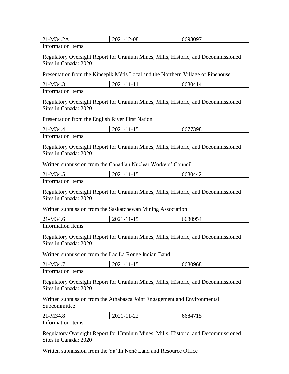| 21-M34.2A                                                                                                                                                                                               | 2021-12-08                                                                       | 6698097 |  |  |
|---------------------------------------------------------------------------------------------------------------------------------------------------------------------------------------------------------|----------------------------------------------------------------------------------|---------|--|--|
| <b>Information Items</b>                                                                                                                                                                                |                                                                                  |         |  |  |
| Regulatory Oversight Report for Uranium Mines, Mills, Historic, and Decommissioned<br>Sites in Canada: 2020                                                                                             |                                                                                  |         |  |  |
|                                                                                                                                                                                                         | Presentation from the Kineepik Métis Local and the Northern Village of Pinehouse |         |  |  |
| 21-M34.3                                                                                                                                                                                                | 2021-11-11                                                                       | 6680414 |  |  |
| <b>Information Items</b>                                                                                                                                                                                |                                                                                  |         |  |  |
| Regulatory Oversight Report for Uranium Mines, Mills, Historic, and Decommissioned<br>Sites in Canada: 2020                                                                                             |                                                                                  |         |  |  |
| Presentation from the English River First Nation                                                                                                                                                        |                                                                                  |         |  |  |
| 21-M34.4                                                                                                                                                                                                | 2021-11-15                                                                       | 6677398 |  |  |
| <b>Information Items</b>                                                                                                                                                                                |                                                                                  |         |  |  |
| Regulatory Oversight Report for Uranium Mines, Mills, Historic, and Decommissioned<br>Sites in Canada: 2020<br>Written submission from the Canadian Nuclear Workers' Council                            |                                                                                  |         |  |  |
| 21-M34.5                                                                                                                                                                                                | 2021-11-15                                                                       | 6680442 |  |  |
| <b>Information Items</b>                                                                                                                                                                                |                                                                                  |         |  |  |
| Regulatory Oversight Report for Uranium Mines, Mills, Historic, and Decommissioned<br>Sites in Canada: 2020<br>Written submission from the Saskatchewan Mining Association                              |                                                                                  |         |  |  |
| 21-M34.6                                                                                                                                                                                                | 2021-11-15                                                                       | 6680954 |  |  |
| <b>Information Items</b>                                                                                                                                                                                |                                                                                  |         |  |  |
| Regulatory Oversight Report for Uranium Mines, Mills, Historic, and Decommissioned<br>Sites in Canada: 2020<br>Written submission from the Lac La Ronge Indian Band                                     |                                                                                  |         |  |  |
|                                                                                                                                                                                                         |                                                                                  |         |  |  |
| 21-M34.7<br><b>Information Items</b>                                                                                                                                                                    | 2021-11-15                                                                       | 6680968 |  |  |
| Regulatory Oversight Report for Uranium Mines, Mills, Historic, and Decommissioned<br>Sites in Canada: 2020<br>Written submission from the Athabasca Joint Engagement and Environmental<br>Subcommittee |                                                                                  |         |  |  |
| 21-M34.8                                                                                                                                                                                                | 2021-11-22                                                                       | 6684715 |  |  |
| <b>Information Items</b>                                                                                                                                                                                |                                                                                  |         |  |  |
| Regulatory Oversight Report for Uranium Mines, Mills, Historic, and Decommissioned<br>Sites in Canada: 2020                                                                                             |                                                                                  |         |  |  |
| Written submission from the Ya'thi Néné Land and Resource Office                                                                                                                                        |                                                                                  |         |  |  |